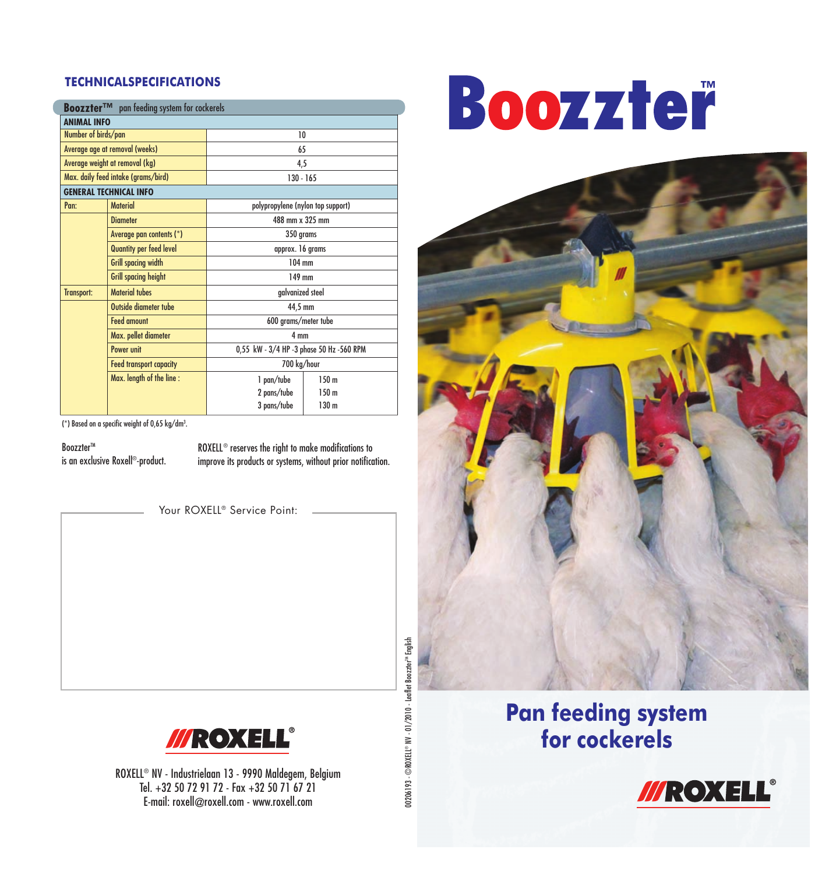#### **TECHNICALSPECIFICATIONS**

ľ

| <b>Boozzter™</b> pan feeding system for cockerels |                                |                                          |                  |
|---------------------------------------------------|--------------------------------|------------------------------------------|------------------|
| <b>ANIMAL INFO</b>                                |                                |                                          |                  |
| Number of birds/pan                               |                                | 10                                       |                  |
| Average age at removal (weeks)                    |                                | 65                                       |                  |
| Average weight at removal (kg)                    |                                | 4,5                                      |                  |
| Max. daily feed intake (grams/bird)               |                                | $130 - 165$                              |                  |
| <b>GENERAL TECHNICAL INFO</b>                     |                                |                                          |                  |
| Pan:                                              | <b>Material</b>                | polypropylene (nylon top support)        |                  |
|                                                   | <b>Dinmeter</b>                | 488 mm x 325 mm                          |                  |
|                                                   | Average pan contents (*)       | 350 grams                                |                  |
|                                                   | Quantity per feed level        | approx. 16 grams                         |                  |
|                                                   | <b>Grill spacing width</b>     | 104 mm                                   |                  |
|                                                   | <b>Grill spacing height</b>    | 149 mm                                   |                  |
| Transport:                                        | <b>Material tubes</b>          | galvanized steel                         |                  |
|                                                   | Outside diameter tube          | 44,5 mm                                  |                  |
|                                                   | <b>Feed amount</b>             | 600 grams/meter tube                     |                  |
|                                                   | Max. pellet diameter           | 4 mm                                     |                  |
|                                                   | Power unit                     | 0,55 kW - 3/4 HP -3 phase 50 Hz -560 RPM |                  |
|                                                   | <b>Feed transport capacity</b> | 700 kg/hour                              |                  |
|                                                   | Max. length of the line:       | 1 pan/tube                               | 150 <sub>m</sub> |
|                                                   |                                | 2 pans/tube                              | 150 <sub>m</sub> |
|                                                   |                                | 3 pans/tube                              | 130 <sub>m</sub> |

(\*) Based on a specific weight of 0,65 kg/dm3 .

BoozzterTM

is an exclusive Roxell®-product.

ROXELL® reserves the right to make modifications to improve its products or systems, without prior notification.

Your ROXELL<sup>®</sup> Service Point:



ROXELL® NV - Industrielaan 13 - 9990 Maldegem, Belgium Tel. +32 50 72 91 72 - Fax +32 50 71 67 21 E-mail: roxell@roxell.com - www.roxell.com

00206193 - ©ROXELL® NV - 01/2010 - Leaflet Boozzter<sup>nu</sup> English 00206193 - ©ROXELL® NV - 01/2010 - Leaflet Boozzter™ English

# Boozzteř



#### **Pan feeding system for cockerels**